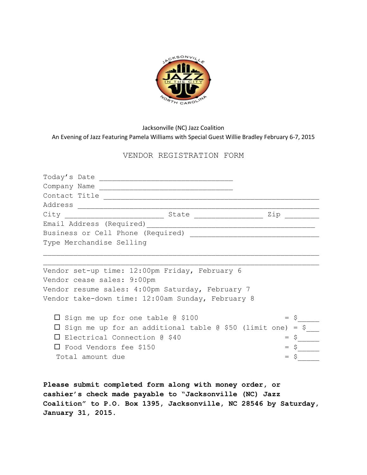

## Jacksonville (NC) Jazz Coalition An Evening of Jazz Featuring Pamela Williams with Special Guest Willie Bradley February 6-7, 2015

## VENDOR REGISTRATION FORM

| Contact Title                                           |         |
|---------------------------------------------------------|---------|
|                                                         |         |
|                                                         | Zip     |
| Email Address (Required)                                |         |
|                                                         |         |
| Type Merchandise Selling                                |         |
|                                                         |         |
|                                                         |         |
| Vendor set-up time: 12:00pm Friday, February 6          |         |
| Vendor cease sales: 9:00pm                              |         |
| Vendor resume sales: 4:00pm Saturday, February 7        |         |
| Vendor take-down time: 12:00am Sunday, February 8       |         |
|                                                         |         |
| $\square$ Sign me up for one table @ \$100              | $= S$   |
| Sign me up for an additional table @ \$50 (limit one)   | $=$ \$  |
| Electrical Connection @ \$40<br>$\perp$                 | $=$ $S$ |
| $\Box$ Food Vendors fee \$150                           | $=$ \$  |
| Total amount due                                        | $=$ $S$ |
|                                                         |         |
|                                                         |         |
| Please submit completed form along with money order, or |         |

**Please submit completed form along with money order, or cashier's check made payable to "Jacksonville (NC) Jazz Coalition" to P.O. Box 1395, Jacksonville, NC 28546 by Saturday, January 31, 2015.**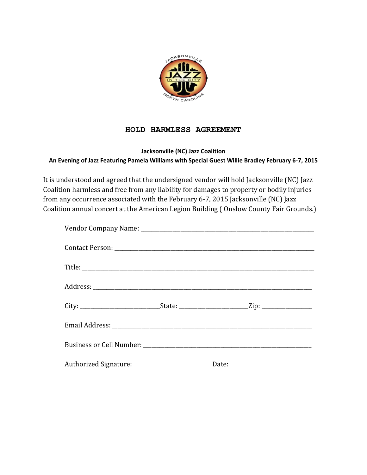

## **HOLD HARMLESS AGREEMENT**

## **Jacksonville (NC) Jazz Coalition An Evening of Jazz Featuring Pamela Williams with Special Guest Willie Bradley February 6-7, 2015**

It is understood and agreed that the undersigned vendor will hold Jacksonville (NC) Jazz Coalition harmless and free from any liability for damages to property or bodily injuries from any occurrence associated with the February 6-7, 2015 Jacksonville (NC) Jazz Coalition annual concert at the American Legion Building ( Onslow County Fair Grounds.)